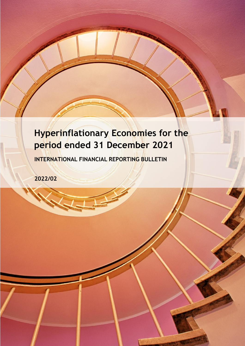# **Hyperinflationary Economies for the period ended 31 December 2021**

**INTERNATIONAL FINANCIAL REPORTING BULLETIN**

**2022/02**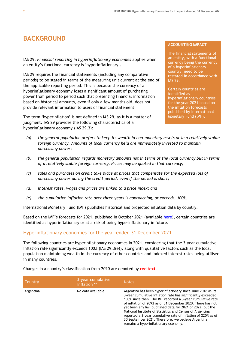## **BACKGROUND**

IAS 29, *Financial reporting in hyperinflationary economies* applies when an entity's functional currency is 'hyperinflationary'.

IAS 29 requires the financial statements (including any comparative periods) to be stated in terms of the measuring unit current at the end of the applicable reporting period. This is because the currency of a hyperinflationary economy loses a significant amount of purchasing power from period to period such that presenting financial information based on historical amounts, even if only a few months old, does not provide relevant information to users of financial statement.

The term 'hyperinflation' is not defined in IAS 29, as it is a matter of judgment. IAS 29 provides the following characteristics of a hyperinflationary economy (IAS 29.3):

#### **ACCOUNTING IMPACT**

The financial statements of an entity, with a functional currency being the currency of a hyperinflationary country, need to be restated in accordance with IAS 29.

Certain countries are identified as hyperinflationary countries for the year 2021 based on the inflation forecasts published by International Monetary Fund (IMF).

- *(a) the general population prefers to keep its wealth in non-monetary assets or in a relatively stable foreign currency. Amounts of local currency held are immediately invested to maintain purchasing power;*
- *(b) the general population regards monetary amounts not in terms of the local currency but in terms of a relatively stable foreign currency. Prices may be quoted in that currency;*
- *(c) sales and purchases on credit take place at prices that compensate for the expected loss of purchasing power during the credit period, even if the period is short;*
- *(d) interest rates, wages and prices are linked to a price index; and*
- *(e) the cumulative inflation rate over three years is approaching, or exceeds, 100%.*

International Monetary Fund (IMF) publishes historical and projected inflation data by country.

Based on the IMF's forecasts for 2021, published in October 2021 (available [here\)](https://www.imf.org/external/datamapper/PCPIPCH%40WEO/OEMDC/), certain countries are identified as hyperinflationary or at a risk of being hyperinflationary in future.

#### Hyperinflationary economies for the year-ended 31 December 2021

The following countries are hyperinflationary economies in 2021, considering that the 3-year cumulative inflation rate significantly exceeds 100% (IAS 29.3(e)), along with qualitative factors such as the local population maintaining wealth in the currency of other countries and indexed interest rates being utilised in many countries.

Changes in a country's classification from 2020 are denoted by **red text**.

| Country   | 3-year cumulative<br>inflation ** | <b>Notes</b>                                                                                                                                                                                                                                                                                                                                                                                                                                                                                                                                  |
|-----------|-----------------------------------|-----------------------------------------------------------------------------------------------------------------------------------------------------------------------------------------------------------------------------------------------------------------------------------------------------------------------------------------------------------------------------------------------------------------------------------------------------------------------------------------------------------------------------------------------|
| Argentina | No data available                 | Argentina has been hyperinflationary since June 2018 as its<br>3-year cumulative inflation rate has significantly exceeded<br>100% since then. The IMF reported a 3-year cumulative rate<br>of inflation of 209% as of 31 December 2020. There has not<br>yet been any IMF published data for 2021 or 2022, but the<br>National Institute of Statistics and Census of Argentina<br>reported a 3-year cumulative rate of inflation of 220% as of<br>30 September 2021. Therefore, we believe Argentina<br>remains a hyperinflationary economy. |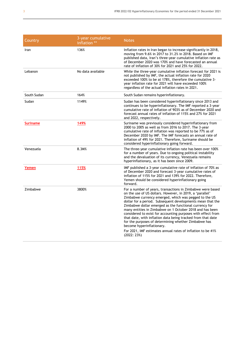| Country         | 3-year cumulative<br>inflation ** | <b>Notes</b>                                                                                                                                                                                                                                                                                                                                                                                                                                                                                                                                                                                                                                                          |
|-----------------|-----------------------------------|-----------------------------------------------------------------------------------------------------------------------------------------------------------------------------------------------------------------------------------------------------------------------------------------------------------------------------------------------------------------------------------------------------------------------------------------------------------------------------------------------------------------------------------------------------------------------------------------------------------------------------------------------------------------------|
| Iran            | 136%                              | Inflation rates in Iran began to increase significantly in 2018,<br>moving from 9.6% in 2017 to 31.2% in 2018. Based on IMF<br>published data, Iran's three-year cumulative inflation rate as<br>of December 2020 was 170% and have forecasted an annual<br>rate of inflation of 30% for 2021 and 25% for 2022.                                                                                                                                                                                                                                                                                                                                                       |
| Lebanon         | No data available                 | While the three-year cumulative inflation forecast for 2021 is<br>not published by IMF, the actual inflation rate for 2020<br>exceeded 100% to be at 178%, therefore the cumulative 3-<br>year inflation rate for 2021 will have exceeded 100%<br>regardless of the actual inflation rates in 2021.                                                                                                                                                                                                                                                                                                                                                                   |
| South Sudan     | 164%                              | South Sudan remains hyperinflationary.                                                                                                                                                                                                                                                                                                                                                                                                                                                                                                                                                                                                                                |
| Sudan           | 1149%                             | Sudan has been considered hyperinflationary since 2013 and<br>continues to be hyperinflationary. The IMF reported a 3-year<br>cumulative rate of inflation of 903% as of December 2020 and<br>forecast annual rates of inflation of 115% and 27% for 2021<br>and 2022, respectively.                                                                                                                                                                                                                                                                                                                                                                                  |
| <b>Suriname</b> | 149%                              | Suriname was previously considered hyperinflationary from<br>2000 to 2005 as well as from 2016 to 2017. The 3-year<br>cumulative rate of inflation was reported to be 77% as of<br>December 2020 by IMF. The IMF forecasts an annual rate of<br>inflation of 49% for 2021. Therefore, Suriname should be<br>considered hyperinflationary going forward.                                                                                                                                                                                                                                                                                                               |
| Venezuela       | 8.3M%                             | The three-year cumulative inflation rate has been over 100%<br>for a number of years. Due to ongoing political instability<br>and the devaluation of its currency, Venezuela remains<br>hyperinflationary, as it has been since 2009.                                                                                                                                                                                                                                                                                                                                                                                                                                 |
| Yemen           | 115%                              | IMF published a 3-year cumulative rate of inflation of 70% as<br>of December 2020 and forecast 3-year cumulative rates of<br>inflation of 115% for 2021 and 139% for 2022. Therefore,<br>Yemen should be considered hyperinflationary going<br>forward.                                                                                                                                                                                                                                                                                                                                                                                                               |
| Zimbabwe        | 3800%                             | For a number of years, transactions in Zimbabwe were based<br>on the use of US dollars. However, in 2019, a 'parallel'<br>Zimbabwe currency emerged, which was pegged to the US<br>dollar for a period. Subsequent developments mean that the<br>Zimbabwe dollar emerged as the functional currency for<br>many entities in Zimbabwe on 1 October 2018 and has been<br>considered to exist for accounting purposes with effect from<br>that date, with inflation data being tracked from that date<br>for the purposes of determining whether Zimbabwe has<br>become hyperinflationary.<br>For 2021, IMF estimates annual rates of inflation to be 41%<br>(2022: 23%) |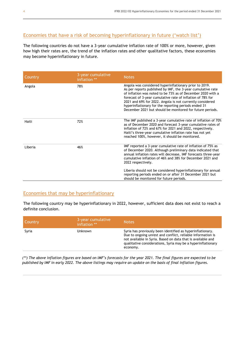## Economies that have a risk of becoming hyperinflationary in future ('watch list')

The following countries do not have a 3-year cumulative inflation rate of 100% or more, however, given how high their rates are, the trend of the inflation rates and other qualitative factors, these economies may become hyperinflationary in future.

| Country | 3-year cumulative<br>inflation ** | <b>Notes</b>                                                                                                                                                                                                                                                                                                                                                                                                                         |
|---------|-----------------------------------|--------------------------------------------------------------------------------------------------------------------------------------------------------------------------------------------------------------------------------------------------------------------------------------------------------------------------------------------------------------------------------------------------------------------------------------|
| Angola  | 78%                               | Angola was considered hyperinflationary prior to 2019.<br>As per reports published by IMF, the 3-year cumulative rate<br>of inflation was noted to be 73% as of December 2020 with a<br>forecast of 3-year cumulative rate of inflation of 78% for<br>2021 and 69% for 2022. Angola is not currently considered<br>hyperinflationary for the reporting periods ended 31<br>December 2021 but should be monitored for future periods. |
| Haiti   | 72%                               | The IMF published a 3-year cumulative rate of inflation of 70%<br>as of December 2020 and forecast 3-year cumulative rates of<br>inflation of 72% and 67% for 2021 and 2022, respectively.<br>Haiti's three-year cumulative inflation rate has not yet<br>reached 100%, however, it should be monitored.                                                                                                                             |
| Liberia | 46%                               | IMF reported a 3-year cumulative rate of inflation of 75% as<br>of December 2020. Although preliminary data indicated that<br>annual inflation rates will decrease, IMF forecasts three-year<br>cumulative inflation of 46% and 38% for December 2021 and<br>2022 respectively.                                                                                                                                                      |
|         |                                   | Liberia should not be considered hyperinflationary for annual<br>reporting periods ended on or after 31 December 2021 but<br>should be monitored for future periods.                                                                                                                                                                                                                                                                 |

### Economies that may be hyperinflationary

The following country may be hyperinflationary in 2022, however, sufficient data does not exist to reach a definite conclusion.

| Country | 3-year cumulative<br>inflation ** | <b>Notes</b>                                                                                                                                                                                                                                                         |
|---------|-----------------------------------|----------------------------------------------------------------------------------------------------------------------------------------------------------------------------------------------------------------------------------------------------------------------|
| Syria   | Unknown                           | Syria has previously been identified as hyperinflationary.<br>Due to ongoing unrest and conflict, reliable information is<br>not available in Syria. Based on data that is available and<br>qualitative considerations, Syria may be a hyperinflationary<br>economy. |

*(\*\*) The above inflation figures are based on IMF's forecasts for the year 2021. The final figures are expected to be*  published by IMF in early 2022. The above listings may require an update on the basis of final inflation figures.